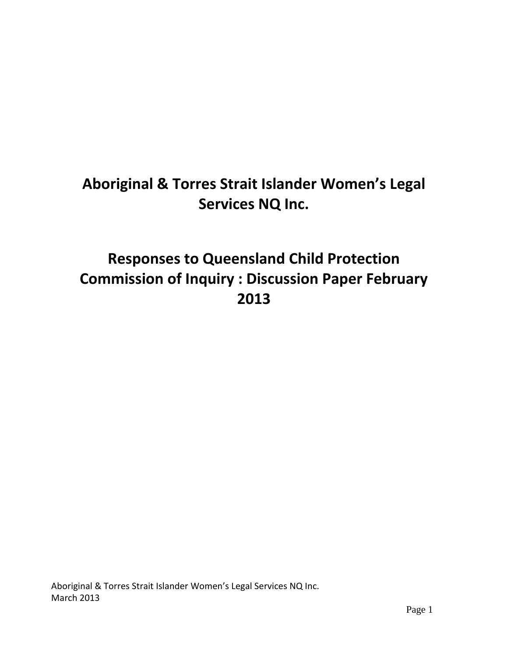# **Aboriginal & Torres Strait Islander Women's Legal Services NQ Inc.**

# **Responses to Queensland Child Protection Commission of Inquiry : Discussion Paper February 2013**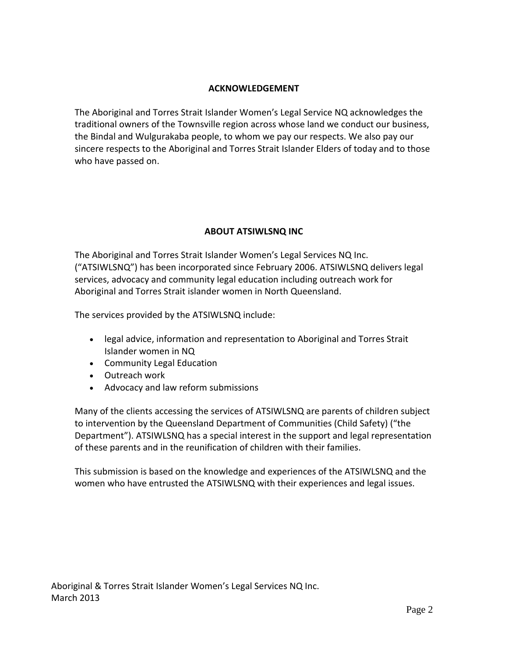#### **ACKNOWLEDGEMENT**

The Aboriginal and Torres Strait Islander Women's Legal Service NQ acknowledges the traditional owners of the Townsville region across whose land we conduct our business, the Bindal and Wulgurakaba people, to whom we pay our respects. We also pay our sincere respects to the Aboriginal and Torres Strait Islander Elders of today and to those who have passed on.

## **ABOUT ATSIWLSNQ INC**

The Aboriginal and Torres Strait Islander Women's Legal Services NQ Inc. ("ATSIWLSNQ") has been incorporated since February 2006. ATSIWLSNQ delivers legal services, advocacy and community legal education including outreach work for Aboriginal and Torres Strait islander women in North Queensland.

The services provided by the ATSIWLSNQ include:

- legal advice, information and representation to Aboriginal and Torres Strait Islander women in NQ
- Community Legal Education
- Outreach work
- Advocacy and law reform submissions

Many of the clients accessing the services of ATSIWLSNQ are parents of children subject to intervention by the Queensland Department of Communities (Child Safety) ("the Department"). ATSIWLSNQ has a special interest in the support and legal representation of these parents and in the reunification of children with their families.

This submission is based on the knowledge and experiences of the ATSIWLSNQ and the women who have entrusted the ATSIWLSNQ with their experiences and legal issues.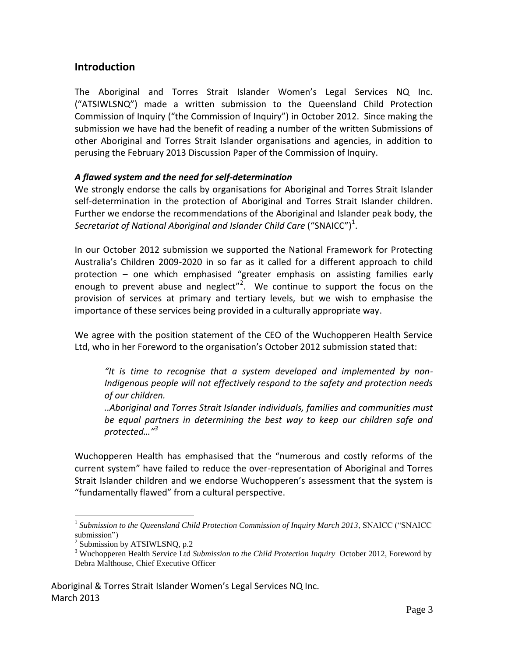## **Introduction**

The Aboriginal and Torres Strait Islander Women's Legal Services NQ Inc. ("ATSIWLSNQ") made a written submission to the Queensland Child Protection Commission of Inquiry ("the Commission of Inquiry") in October 2012. Since making the submission we have had the benefit of reading a number of the written Submissions of other Aboriginal and Torres Strait Islander organisations and agencies, in addition to perusing the February 2013 Discussion Paper of the Commission of Inquiry.

## *A flawed system and the need for self-determination*

We strongly endorse the calls by organisations for Aboriginal and Torres Strait Islander self-determination in the protection of Aboriginal and Torres Strait Islander children. Further we endorse the recommendations of the Aboriginal and Islander peak body, the Secretariat of National Aboriginal and Islander Child Care  $\mathsf{(\text{``SNAICC''})}^1$ .

In our October 2012 submission we supported the National Framework for Protecting Australia's Children 2009-2020 in so far as it called for a different approach to child protection – one which emphasised "greater emphasis on assisting families early enough to prevent abuse and neglect"<sup>2</sup>. We continue to support the focus on the provision of services at primary and tertiary levels, but we wish to emphasise the importance of these services being provided in a culturally appropriate way.

We agree with the position statement of the CEO of the Wuchopperen Health Service Ltd, who in her Foreword to the organisation's October 2012 submission stated that:

*"It is time to recognise that a system developed and implemented by non-Indigenous people will not effectively respond to the safety and protection needs of our children.*

*..Aboriginal and Torres Strait Islander individuals, families and communities must be equal partners in determining the best way to keep our children safe and protected…"<sup>3</sup>*

Wuchopperen Health has emphasised that the "numerous and costly reforms of the current system" have failed to reduce the over-representation of Aboriginal and Torres Strait Islander children and we endorse Wuchopperen's assessment that the system is "fundamentally flawed" from a cultural perspective.

 $\overline{a}$ 

<sup>&</sup>lt;sup>1</sup> Submission to the Queensland Child Protection Commission of Inquiry March 2013, SNAICC ("SNAICC submission")

 $2$  Submission by ATSIWLSNQ, p.2

<sup>3</sup> Wuchopperen Health Service Ltd *Submission to the Child Protection Inquiry* October 2012, Foreword by Debra Malthouse, Chief Executive Officer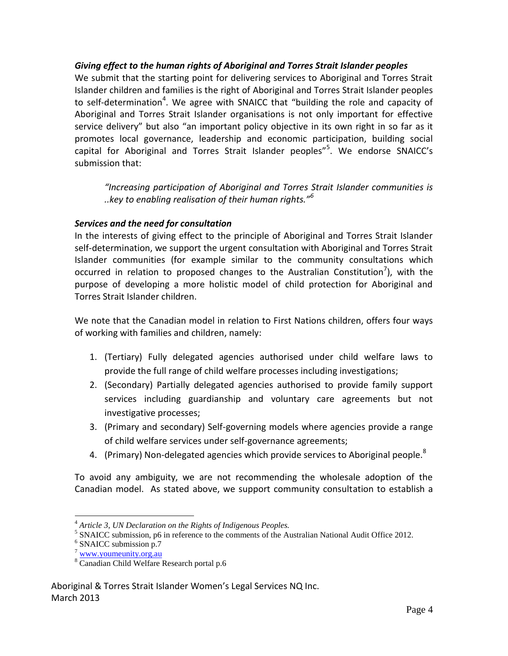## *Giving effect to the human rights of Aboriginal and Torres Strait Islander peoples*

We submit that the starting point for delivering services to Aboriginal and Torres Strait Islander children and families is the right of Aboriginal and Torres Strait Islander peoples to self-determination<sup>4</sup>. We agree with SNAICC that "building the role and capacity of Aboriginal and Torres Strait Islander organisations is not only important for effective service delivery" but also "an important policy objective in its own right in so far as it promotes local governance, leadership and economic participation, building social capital for Aboriginal and Torres Strait Islander peoples"<sup>5</sup>. We endorse SNAICC's submission that:

*"Increasing participation of Aboriginal and Torres Strait Islander communities is ..key to enabling realisation of their human rights."<sup>6</sup>*

## *Services and the need for consultation*

In the interests of giving effect to the principle of Aboriginal and Torres Strait Islander self-determination, we support the urgent consultation with Aboriginal and Torres Strait Islander communities (for example similar to the community consultations which occurred in relation to proposed changes to the Australian Constitution<sup>7</sup>), with the purpose of developing a more holistic model of child protection for Aboriginal and Torres Strait Islander children.

We note that the Canadian model in relation to First Nations children, offers four ways of working with families and children, namely:

- 1. (Tertiary) Fully delegated agencies authorised under child welfare laws to provide the full range of child welfare processes including investigations;
- 2. (Secondary) Partially delegated agencies authorised to provide family support services including guardianship and voluntary care agreements but not investigative processes;
- 3. (Primary and secondary) Self-governing models where agencies provide a range of child welfare services under self-governance agreements;
- 4. (Primary) Non-delegated agencies which provide services to Aboriginal people.<sup>8</sup>

To avoid any ambiguity, we are not recommending the wholesale adoption of the Canadian model. As stated above, we support community consultation to establish a

 $\overline{a}$ 

<sup>4</sup> *Article 3, UN Declaration on the Rights of Indigenous Peoples.*

<sup>&</sup>lt;sup>5</sup> SNAICC submission, p6 in reference to the comments of the Australian National Audit Office 2012.

<sup>6</sup> SNAICC submission p.7

<sup>7</sup> [www.youmeunity.org.au](http://www.youmeunity.org.au/)

<sup>8</sup> Canadian Child Welfare Research portal p.6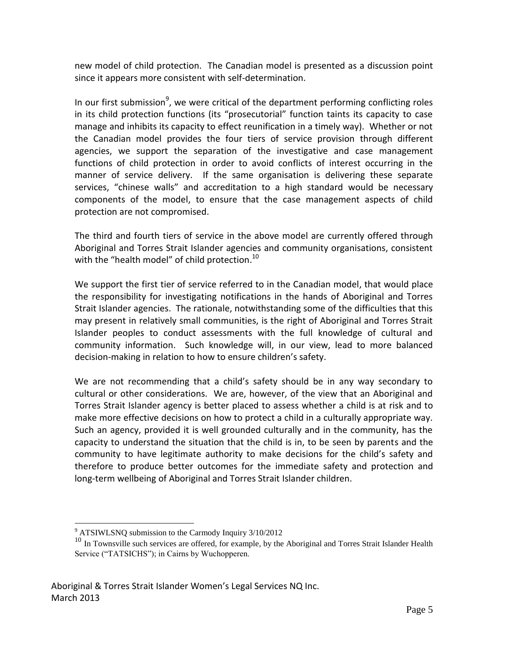new model of child protection. The Canadian model is presented as a discussion point since it appears more consistent with self-determination.

In our first submission<sup>9</sup>, we were critical of the department performing conflicting roles in its child protection functions (its "prosecutorial" function taints its capacity to case manage and inhibits its capacity to effect reunification in a timely way). Whether or not the Canadian model provides the four tiers of service provision through different agencies, we support the separation of the investigative and case management functions of child protection in order to avoid conflicts of interest occurring in the manner of service delivery. If the same organisation is delivering these separate services, "chinese walls" and accreditation to a high standard would be necessary components of the model, to ensure that the case management aspects of child protection are not compromised.

The third and fourth tiers of service in the above model are currently offered through Aboriginal and Torres Strait Islander agencies and community organisations, consistent with the "health model" of child protection. $^{10}$ 

We support the first tier of service referred to in the Canadian model, that would place the responsibility for investigating notifications in the hands of Aboriginal and Torres Strait Islander agencies. The rationale, notwithstanding some of the difficulties that this may present in relatively small communities, is the right of Aboriginal and Torres Strait Islander peoples to conduct assessments with the full knowledge of cultural and community information. Such knowledge will, in our view, lead to more balanced decision-making in relation to how to ensure children's safety.

We are not recommending that a child's safety should be in any way secondary to cultural or other considerations. We are, however, of the view that an Aboriginal and Torres Strait Islander agency is better placed to assess whether a child is at risk and to make more effective decisions on how to protect a child in a culturally appropriate way. Such an agency, provided it is well grounded culturally and in the community, has the capacity to understand the situation that the child is in, to be seen by parents and the community to have legitimate authority to make decisions for the child's safety and therefore to produce better outcomes for the immediate safety and protection and long-term wellbeing of Aboriginal and Torres Strait Islander children.

 $\overline{a}$ <sup>9</sup> ATSIWLSNQ submission to the Carmody Inquiry 3/10/2012

<sup>&</sup>lt;sup>10</sup> In Townsville such services are offered, for example, by the Aboriginal and Torres Strait Islander Health Service ("TATSICHS"); in Cairns by Wuchopperen.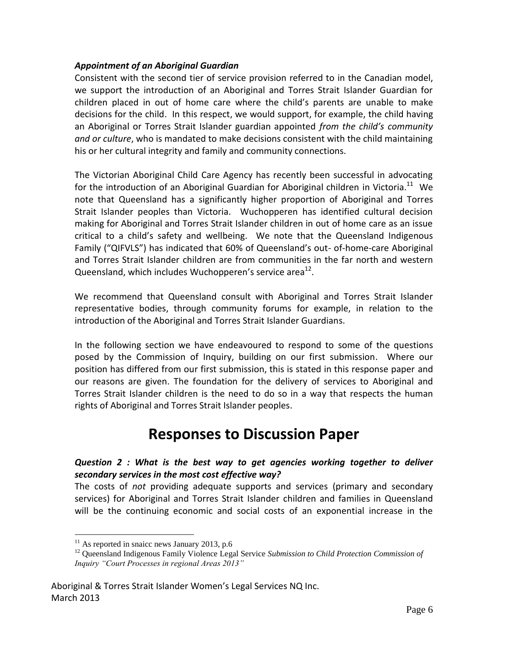#### *Appointment of an Aboriginal Guardian*

Consistent with the second tier of service provision referred to in the Canadian model, we support the introduction of an Aboriginal and Torres Strait Islander Guardian for children placed in out of home care where the child's parents are unable to make decisions for the child. In this respect, we would support, for example, the child having an Aboriginal or Torres Strait Islander guardian appointed *from the child's community and or culture*, who is mandated to make decisions consistent with the child maintaining his or her cultural integrity and family and community connections.

The Victorian Aboriginal Child Care Agency has recently been successful in advocating for the introduction of an Aboriginal Guardian for Aboriginal children in Victoria. $^{11}$  We note that Queensland has a significantly higher proportion of Aboriginal and Torres Strait Islander peoples than Victoria. Wuchopperen has identified cultural decision making for Aboriginal and Torres Strait Islander children in out of home care as an issue critical to a child's safety and wellbeing. We note that the Queensland Indigenous Family ("QIFVLS") has indicated that 60% of Queensland's out- of-home-care Aboriginal and Torres Strait Islander children are from communities in the far north and western Queensland, which includes Wuchopperen's service area $^{12}$ .

We recommend that Queensland consult with Aboriginal and Torres Strait Islander representative bodies, through community forums for example, in relation to the introduction of the Aboriginal and Torres Strait Islander Guardians.

In the following section we have endeavoured to respond to some of the questions posed by the Commission of Inquiry, building on our first submission. Where our position has differed from our first submission, this is stated in this response paper and our reasons are given. The foundation for the delivery of services to Aboriginal and Torres Strait Islander children is the need to do so in a way that respects the human rights of Aboriginal and Torres Strait Islander peoples.

## **Responses to Discussion Paper**

## *Question 2 : What is the best way to get agencies working together to deliver secondary services in the most cost effective way?*

The costs of *not* providing adequate supports and services (primary and secondary services) for Aboriginal and Torres Strait Islander children and families in Queensland will be the continuing economic and social costs of an exponential increase in the

 $\overline{a}$ 

 $11$  As reported in snaicc news January 2013, p.6

<sup>&</sup>lt;sup>12</sup> Queensland Indigenous Family Violence Legal Service *Submission to Child Protection Commission of Inquiry "Court Processes in regional Areas 2013"*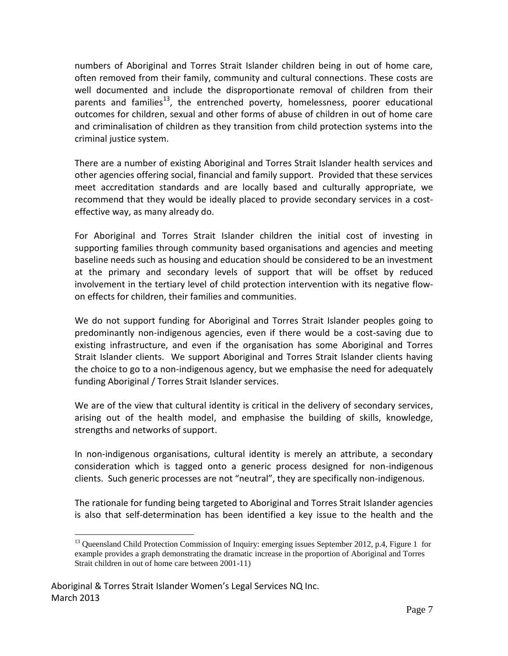numbers of Aboriginal and Torres Strait Islander children being in out of home care, often removed from their family, community and cultural connections. These costs are well documented and include the disproportionate removal of children from their parents and families<sup>13</sup>, the entrenched poverty, homelessness, poorer educational outcomes for children, sexual and other forms of abuse of children in out of home care and criminalisation of children as they transition from child protection systems into the criminal justice system.

There are a number of existing Aboriginal and Torres Strait Islander health services and other agencies offering social, financial and family support. Provided that these services meet accreditation standards and are locally based and culturally appropriate, we recommend that they would be ideally placed to provide secondary services in a costeffective way, as many already do.

For Aboriginal and Torres Strait Islander children the initial cost of investing in supporting families through community based organisations and agencies and meeting baseline needs such as housing and education should be considered to be an investment at the primary and secondary levels of support that will be offset by reduced involvement in the tertiary level of child protection intervention with its negative flowon effects for children, their families and communities.

We do not support funding for Aboriginal and Torres Strait Islander peoples going to predominantly non-indigenous agencies, even if there would be a cost-saving due to existing infrastructure, and even if the organisation has some Aboriginal and Torres Strait Islander clients. We support Aboriginal and Torres Strait Islander clients having the choice to go to a non-indigenous agency, but we emphasise the need for adequately funding Aboriginal / Torres Strait Islander services.

We are of the view that cultural identity is critical in the delivery of secondary services, arising out of the health model, and emphasise the building of skills, knowledge, strengths and networks of support.

In non-indigenous organisations, cultural identity is merely an attribute, a secondary consideration which is tagged onto a generic process designed for non-indigenous clients. Such generic processes are not "neutral", they are specifically non-indigenous.

The rationale for funding being targeted to Aboriginal and Torres Strait Islander agencies is also that self-determination has been identified a key issue to the health and the

 $\overline{a}$ 

<sup>&</sup>lt;sup>13</sup> Queensland Child Protection Commission of Inquiry: emerging issues September 2012, p.4, Figure 1 for example provides a graph demonstrating the dramatic increase in the proportion of Aboriginal and Torres Strait children in out of home care between 2001-11)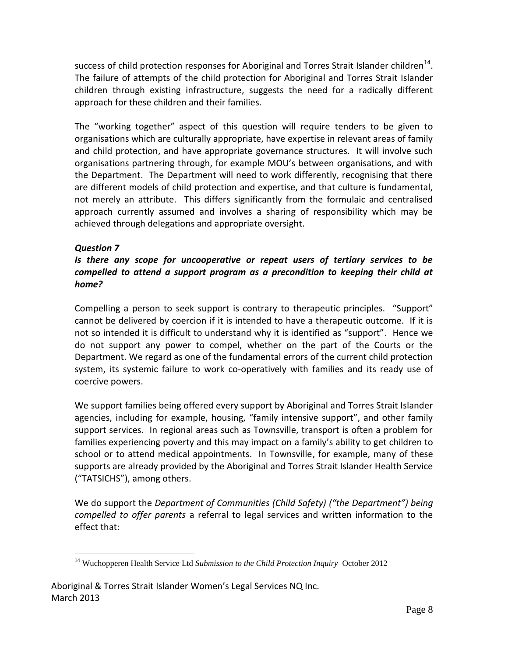success of child protection responses for Aboriginal and Torres Strait Islander children<sup>14</sup>. The failure of attempts of the child protection for Aboriginal and Torres Strait Islander children through existing infrastructure, suggests the need for a radically different approach for these children and their families.

The "working together" aspect of this question will require tenders to be given to organisations which are culturally appropriate, have expertise in relevant areas of family and child protection, and have appropriate governance structures. It will involve such organisations partnering through, for example MOU's between organisations, and with the Department. The Department will need to work differently, recognising that there are different models of child protection and expertise, and that culture is fundamental, not merely an attribute. This differs significantly from the formulaic and centralised approach currently assumed and involves a sharing of responsibility which may be achieved through delegations and appropriate oversight.

## *Question 7*

## *Is there any scope for uncooperative or repeat users of tertiary services to be compelled to attend a support program as a precondition to keeping their child at home?*

Compelling a person to seek support is contrary to therapeutic principles. "Support" cannot be delivered by coercion if it is intended to have a therapeutic outcome. If it is not so intended it is difficult to understand why it is identified as "support". Hence we do not support any power to compel, whether on the part of the Courts or the Department. We regard as one of the fundamental errors of the current child protection system, its systemic failure to work co-operatively with families and its ready use of coercive powers.

We support families being offered every support by Aboriginal and Torres Strait Islander agencies, including for example, housing, "family intensive support", and other family support services. In regional areas such as Townsville, transport is often a problem for families experiencing poverty and this may impact on a family's ability to get children to school or to attend medical appointments. In Townsville, for example, many of these supports are already provided by the Aboriginal and Torres Strait Islander Health Service ("TATSICHS"), among others.

We do support the *Department of Communities (Child Safety) ("the Department") being compelled to offer parents* a referral to legal services and written information to the effect that:

 $\overline{a}$ <sup>14</sup> Wuchopperen Health Service Ltd *Submission to the Child Protection Inquiry* October 2012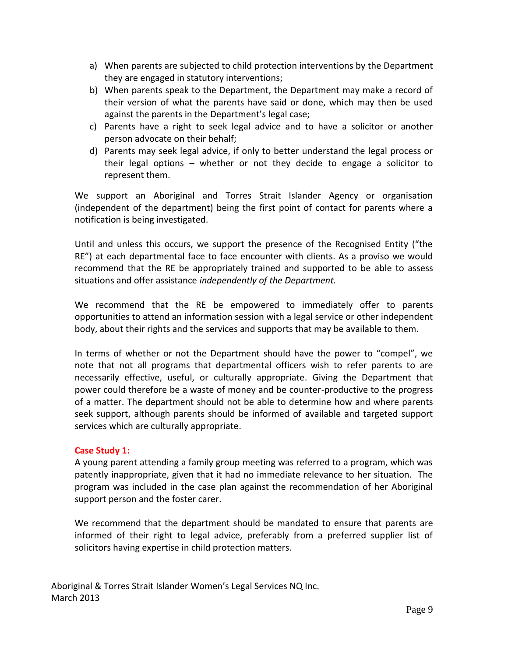- a) When parents are subjected to child protection interventions by the Department they are engaged in statutory interventions;
- b) When parents speak to the Department, the Department may make a record of their version of what the parents have said or done, which may then be used against the parents in the Department's legal case;
- c) Parents have a right to seek legal advice and to have a solicitor or another person advocate on their behalf;
- d) Parents may seek legal advice, if only to better understand the legal process or their legal options – whether or not they decide to engage a solicitor to represent them.

We support an Aboriginal and Torres Strait Islander Agency or organisation (independent of the department) being the first point of contact for parents where a notification is being investigated.

Until and unless this occurs, we support the presence of the Recognised Entity ("the RE") at each departmental face to face encounter with clients. As a proviso we would recommend that the RE be appropriately trained and supported to be able to assess situations and offer assistance *independently of the Department.* 

We recommend that the RE be empowered to immediately offer to parents opportunities to attend an information session with a legal service or other independent body, about their rights and the services and supports that may be available to them.

In terms of whether or not the Department should have the power to "compel", we note that not all programs that departmental officers wish to refer parents to are necessarily effective, useful, or culturally appropriate. Giving the Department that power could therefore be a waste of money and be counter-productive to the progress of a matter. The department should not be able to determine how and where parents seek support, although parents should be informed of available and targeted support services which are culturally appropriate.

## **Case Study 1:**

A young parent attending a family group meeting was referred to a program, which was patently inappropriate, given that it had no immediate relevance to her situation. The program was included in the case plan against the recommendation of her Aboriginal support person and the foster carer.

We recommend that the department should be mandated to ensure that parents are informed of their right to legal advice, preferably from a preferred supplier list of solicitors having expertise in child protection matters.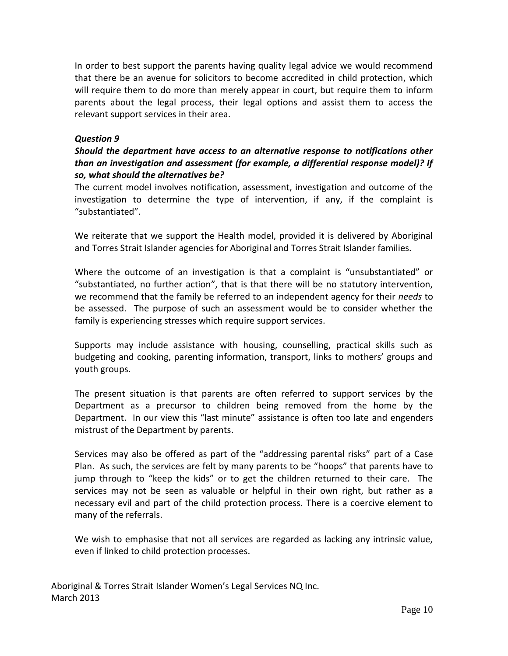In order to best support the parents having quality legal advice we would recommend that there be an avenue for solicitors to become accredited in child protection, which will require them to do more than merely appear in court, but require them to inform parents about the legal process, their legal options and assist them to access the relevant support services in their area.

#### *Question 9*

#### *Should the department have access to an alternative response to notifications other than an investigation and assessment (for example, a differential response model)? If so, what should the alternatives be?*

The current model involves notification, assessment, investigation and outcome of the investigation to determine the type of intervention, if any, if the complaint is "substantiated".

We reiterate that we support the Health model, provided it is delivered by Aboriginal and Torres Strait Islander agencies for Aboriginal and Torres Strait Islander families.

Where the outcome of an investigation is that a complaint is "unsubstantiated" or "substantiated, no further action", that is that there will be no statutory intervention, we recommend that the family be referred to an independent agency for their *needs* to be assessed. The purpose of such an assessment would be to consider whether the family is experiencing stresses which require support services.

Supports may include assistance with housing, counselling, practical skills such as budgeting and cooking, parenting information, transport, links to mothers' groups and youth groups.

The present situation is that parents are often referred to support services by the Department as a precursor to children being removed from the home by the Department. In our view this "last minute" assistance is often too late and engenders mistrust of the Department by parents.

Services may also be offered as part of the "addressing parental risks" part of a Case Plan. As such, the services are felt by many parents to be "hoops" that parents have to jump through to "keep the kids" or to get the children returned to their care. The services may not be seen as valuable or helpful in their own right, but rather as a necessary evil and part of the child protection process. There is a coercive element to many of the referrals.

We wish to emphasise that not all services are regarded as lacking any intrinsic value, even if linked to child protection processes.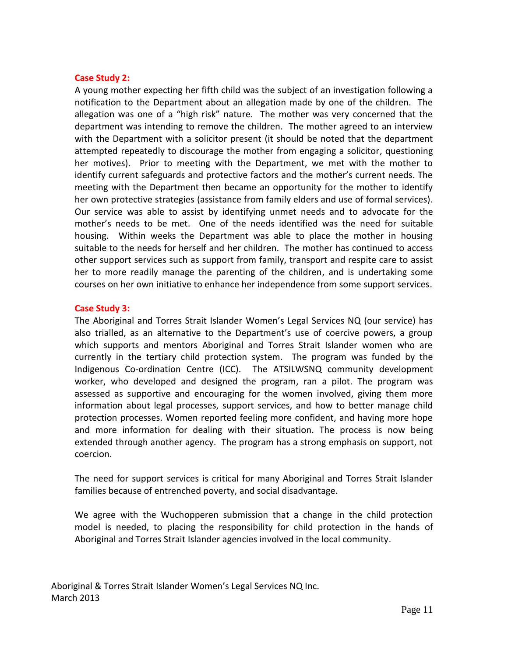#### **Case Study 2:**

A young mother expecting her fifth child was the subject of an investigation following a notification to the Department about an allegation made by one of the children. The allegation was one of a "high risk" nature. The mother was very concerned that the department was intending to remove the children. The mother agreed to an interview with the Department with a solicitor present (it should be noted that the department attempted repeatedly to discourage the mother from engaging a solicitor, questioning her motives). Prior to meeting with the Department, we met with the mother to identify current safeguards and protective factors and the mother's current needs. The meeting with the Department then became an opportunity for the mother to identify her own protective strategies (assistance from family elders and use of formal services). Our service was able to assist by identifying unmet needs and to advocate for the mother's needs to be met. One of the needs identified was the need for suitable housing. Within weeks the Department was able to place the mother in housing suitable to the needs for herself and her children. The mother has continued to access other support services such as support from family, transport and respite care to assist her to more readily manage the parenting of the children, and is undertaking some courses on her own initiative to enhance her independence from some support services.

#### **Case Study 3:**

The Aboriginal and Torres Strait Islander Women's Legal Services NQ (our service) has also trialled, as an alternative to the Department's use of coercive powers, a group which supports and mentors Aboriginal and Torres Strait Islander women who are currently in the tertiary child protection system. The program was funded by the Indigenous Co-ordination Centre (ICC). The ATSILWSNQ community development worker, who developed and designed the program, ran a pilot. The program was assessed as supportive and encouraging for the women involved, giving them more information about legal processes, support services, and how to better manage child protection processes. Women reported feeling more confident, and having more hope and more information for dealing with their situation. The process is now being extended through another agency. The program has a strong emphasis on support, not coercion.

The need for support services is critical for many Aboriginal and Torres Strait Islander families because of entrenched poverty, and social disadvantage.

We agree with the Wuchopperen submission that a change in the child protection model is needed, to placing the responsibility for child protection in the hands of Aboriginal and Torres Strait Islander agencies involved in the local community.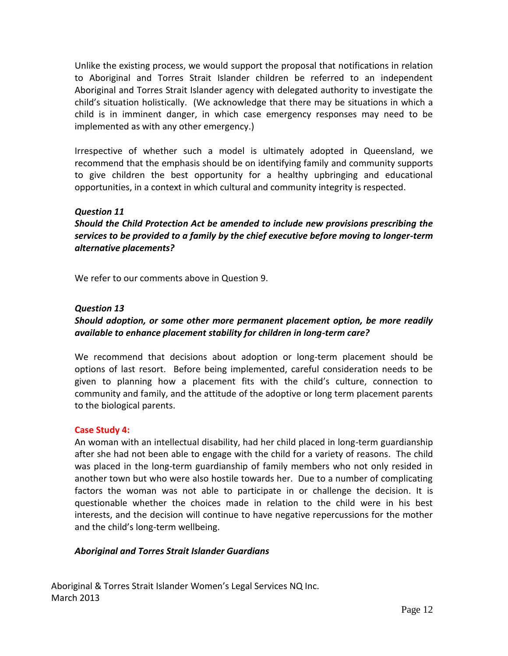Unlike the existing process, we would support the proposal that notifications in relation to Aboriginal and Torres Strait Islander children be referred to an independent Aboriginal and Torres Strait Islander agency with delegated authority to investigate the child's situation holistically. (We acknowledge that there may be situations in which a child is in imminent danger, in which case emergency responses may need to be implemented as with any other emergency.)

Irrespective of whether such a model is ultimately adopted in Queensland, we recommend that the emphasis should be on identifying family and community supports to give children the best opportunity for a healthy upbringing and educational opportunities, in a context in which cultural and community integrity is respected.

## *Question 11*

*Should the Child Protection Act be amended to include new provisions prescribing the services to be provided to a family by the chief executive before moving to longer-term alternative placements?* 

We refer to our comments above in Question 9.

#### *Question 13*

## *Should adoption, or some other more permanent placement option, be more readily available to enhance placement stability for children in long-term care?*

We recommend that decisions about adoption or long-term placement should be options of last resort. Before being implemented, careful consideration needs to be given to planning how a placement fits with the child's culture, connection to community and family, and the attitude of the adoptive or long term placement parents to the biological parents.

#### **Case Study 4:**

An woman with an intellectual disability, had her child placed in long-term guardianship after she had not been able to engage with the child for a variety of reasons. The child was placed in the long-term guardianship of family members who not only resided in another town but who were also hostile towards her. Due to a number of complicating factors the woman was not able to participate in or challenge the decision. It is questionable whether the choices made in relation to the child were in his best interests, and the decision will continue to have negative repercussions for the mother and the child's long-term wellbeing.

#### *Aboriginal and Torres Strait Islander Guardians*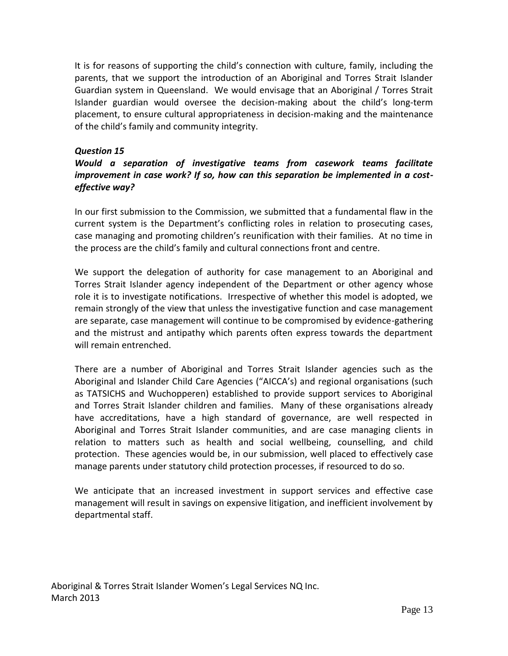It is for reasons of supporting the child's connection with culture, family, including the parents, that we support the introduction of an Aboriginal and Torres Strait Islander Guardian system in Queensland. We would envisage that an Aboriginal / Torres Strait Islander guardian would oversee the decision-making about the child's long-term placement, to ensure cultural appropriateness in decision-making and the maintenance of the child's family and community integrity.

## *Question 15*

## *Would a separation of investigative teams from casework teams facilitate improvement in case work? If so, how can this separation be implemented in a costeffective way?*

In our first submission to the Commission, we submitted that a fundamental flaw in the current system is the Department's conflicting roles in relation to prosecuting cases, case managing and promoting children's reunification with their families. At no time in the process are the child's family and cultural connections front and centre.

We support the delegation of authority for case management to an Aboriginal and Torres Strait Islander agency independent of the Department or other agency whose role it is to investigate notifications. Irrespective of whether this model is adopted, we remain strongly of the view that unless the investigative function and case management are separate, case management will continue to be compromised by evidence-gathering and the mistrust and antipathy which parents often express towards the department will remain entrenched.

There are a number of Aboriginal and Torres Strait Islander agencies such as the Aboriginal and Islander Child Care Agencies ("AICCA's) and regional organisations (such as TATSICHS and Wuchopperen) established to provide support services to Aboriginal and Torres Strait Islander children and families. Many of these organisations already have accreditations, have a high standard of governance, are well respected in Aboriginal and Torres Strait Islander communities, and are case managing clients in relation to matters such as health and social wellbeing, counselling, and child protection. These agencies would be, in our submission, well placed to effectively case manage parents under statutory child protection processes, if resourced to do so.

We anticipate that an increased investment in support services and effective case management will result in savings on expensive litigation, and inefficient involvement by departmental staff.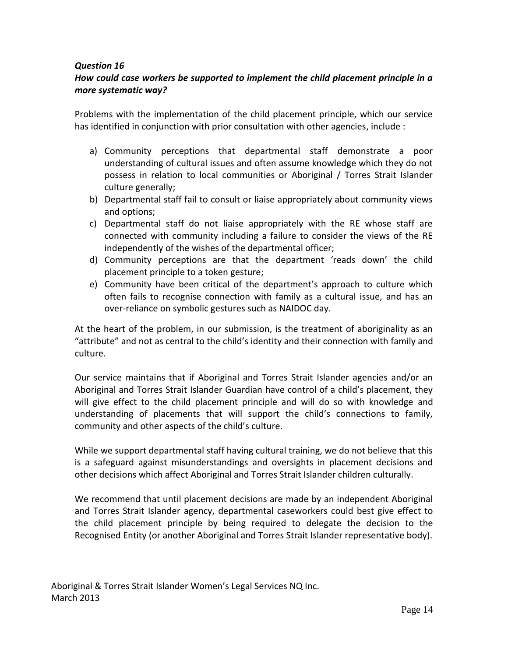## *How could case workers be supported to implement the child placement principle in a more systematic way?*

Problems with the implementation of the child placement principle, which our service has identified in conjunction with prior consultation with other agencies, include :

- a) Community perceptions that departmental staff demonstrate a poor understanding of cultural issues and often assume knowledge which they do not possess in relation to local communities or Aboriginal / Torres Strait Islander culture generally;
- b) Departmental staff fail to consult or liaise appropriately about community views and options;
- c) Departmental staff do not liaise appropriately with the RE whose staff are connected with community including a failure to consider the views of the RE independently of the wishes of the departmental officer;
- d) Community perceptions are that the department 'reads down' the child placement principle to a token gesture;
- e) Community have been critical of the department's approach to culture which often fails to recognise connection with family as a cultural issue, and has an over-reliance on symbolic gestures such as NAIDOC day.

At the heart of the problem, in our submission, is the treatment of aboriginality as an "attribute" and not as central to the child's identity and their connection with family and culture.

Our service maintains that if Aboriginal and Torres Strait Islander agencies and/or an Aboriginal and Torres Strait Islander Guardian have control of a child's placement, they will give effect to the child placement principle and will do so with knowledge and understanding of placements that will support the child's connections to family, community and other aspects of the child's culture.

While we support departmental staff having cultural training, we do not believe that this is a safeguard against misunderstandings and oversights in placement decisions and other decisions which affect Aboriginal and Torres Strait Islander children culturally.

We recommend that until placement decisions are made by an independent Aboriginal and Torres Strait Islander agency, departmental caseworkers could best give effect to the child placement principle by being required to delegate the decision to the Recognised Entity (or another Aboriginal and Torres Strait Islander representative body).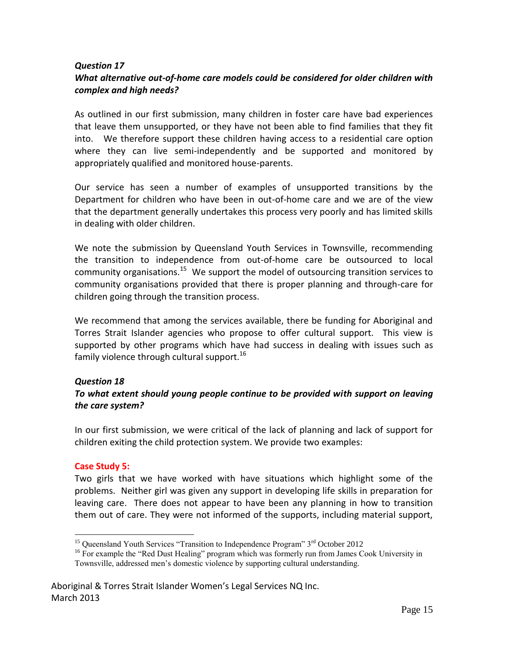#### *Question 17 What alternative out-of-home care models could be considered for older children with complex and high needs?*

As outlined in our first submission, many children in foster care have bad experiences that leave them unsupported, or they have not been able to find families that they fit into. We therefore support these children having access to a residential care option where they can live semi-independently and be supported and monitored by appropriately qualified and monitored house-parents.

Our service has seen a number of examples of unsupported transitions by the Department for children who have been in out-of-home care and we are of the view that the department generally undertakes this process very poorly and has limited skills in dealing with older children.

We note the submission by Queensland Youth Services in Townsville, recommending the transition to independence from out-of-home care be outsourced to local community organisations.<sup>15</sup> We support the model of outsourcing transition services to community organisations provided that there is proper planning and through-care for children going through the transition process.

We recommend that among the services available, there be funding for Aboriginal and Torres Strait Islander agencies who propose to offer cultural support. This view is supported by other programs which have had success in dealing with issues such as family violence through cultural support.<sup>16</sup>

## *Question 18*

## *To what extent should young people continue to be provided with support on leaving the care system?*

In our first submission, we were critical of the lack of planning and lack of support for children exiting the child protection system. We provide two examples:

#### **Case Study 5:**

 $\overline{a}$ 

Two girls that we have worked with have situations which highlight some of the problems. Neither girl was given any support in developing life skills in preparation for leaving care. There does not appear to have been any planning in how to transition them out of care. They were not informed of the supports, including material support,

<sup>&</sup>lt;sup>15</sup> Queensland Youth Services "Transition to Independence Program"  $3<sup>rd</sup>$  October 2012

<sup>&</sup>lt;sup>16</sup> For example the "Red Dust Healing" program which was formerly run from James Cook University in Townsville, addressed men's domestic violence by supporting cultural understanding.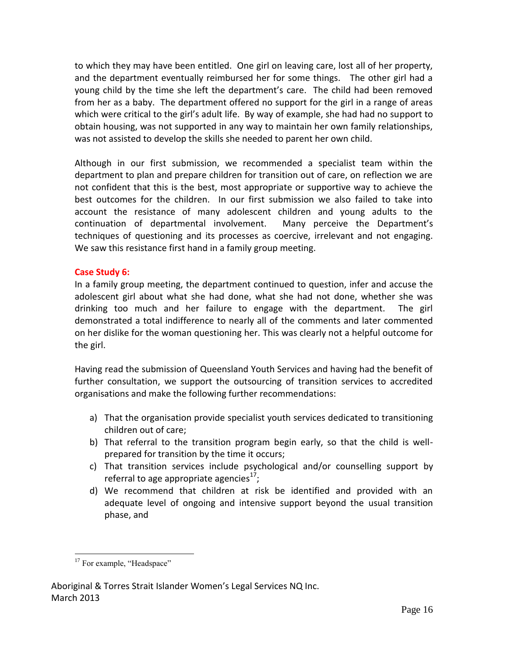to which they may have been entitled. One girl on leaving care, lost all of her property, and the department eventually reimbursed her for some things. The other girl had a young child by the time she left the department's care. The child had been removed from her as a baby. The department offered no support for the girl in a range of areas which were critical to the girl's adult life. By way of example, she had had no support to obtain housing, was not supported in any way to maintain her own family relationships, was not assisted to develop the skills she needed to parent her own child.

Although in our first submission, we recommended a specialist team within the department to plan and prepare children for transition out of care, on reflection we are not confident that this is the best, most appropriate or supportive way to achieve the best outcomes for the children. In our first submission we also failed to take into account the resistance of many adolescent children and young adults to the continuation of departmental involvement. Many perceive the Department's techniques of questioning and its processes as coercive, irrelevant and not engaging. We saw this resistance first hand in a family group meeting.

#### **Case Study 6:**

In a family group meeting, the department continued to question, infer and accuse the adolescent girl about what she had done, what she had not done, whether she was drinking too much and her failure to engage with the department. The girl demonstrated a total indifference to nearly all of the comments and later commented on her dislike for the woman questioning her. This was clearly not a helpful outcome for the girl.

Having read the submission of Queensland Youth Services and having had the benefit of further consultation, we support the outsourcing of transition services to accredited organisations and make the following further recommendations:

- a) That the organisation provide specialist youth services dedicated to transitioning children out of care;
- b) That referral to the transition program begin early, so that the child is wellprepared for transition by the time it occurs;
- c) That transition services include psychological and/or counselling support by referral to age appropriate agencies $^{17}$ ;
- d) We recommend that children at risk be identified and provided with an adequate level of ongoing and intensive support beyond the usual transition phase, and

 $\overline{a}$ <sup>17</sup> For example, "Headspace"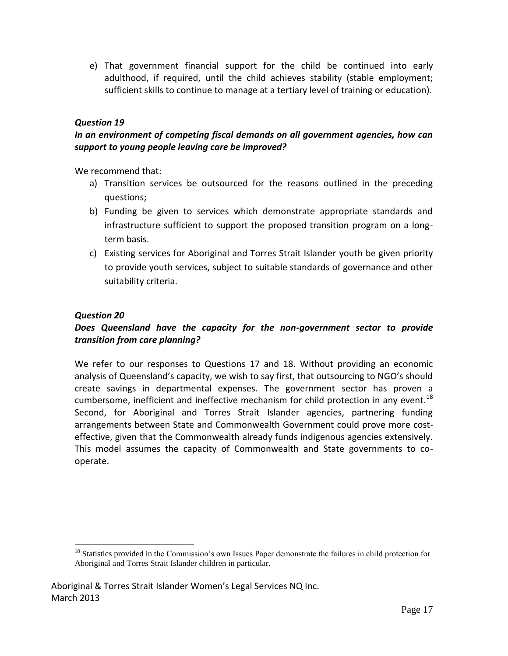e) That government financial support for the child be continued into early adulthood, if required, until the child achieves stability (stable employment; sufficient skills to continue to manage at a tertiary level of training or education).

## *Question 19*

## *In an environment of competing fiscal demands on all government agencies, how can support to young people leaving care be improved?*

We recommend that:

- a) Transition services be outsourced for the reasons outlined in the preceding questions;
- b) Funding be given to services which demonstrate appropriate standards and infrastructure sufficient to support the proposed transition program on a longterm basis.
- c) Existing services for Aboriginal and Torres Strait Islander youth be given priority to provide youth services, subject to suitable standards of governance and other suitability criteria.

## *Question 20*

 $\overline{a}$ 

## *Does Queensland have the capacity for the non-government sector to provide transition from care planning?*

We refer to our responses to Questions 17 and 18. Without providing an economic analysis of Queensland's capacity, we wish to say first, that outsourcing to NGO's should create savings in departmental expenses. The government sector has proven a cumbersome, inefficient and ineffective mechanism for child protection in any event.<sup>18</sup> Second, for Aboriginal and Torres Strait Islander agencies, partnering funding arrangements between State and Commonwealth Government could prove more costeffective, given that the Commonwealth already funds indigenous agencies extensively. This model assumes the capacity of Commonwealth and State governments to cooperate.

<sup>&</sup>lt;sup>18</sup> Statistics provided in the Commission's own Issues Paper demonstrate the failures in child protection for Aboriginal and Torres Strait Islander children in particular.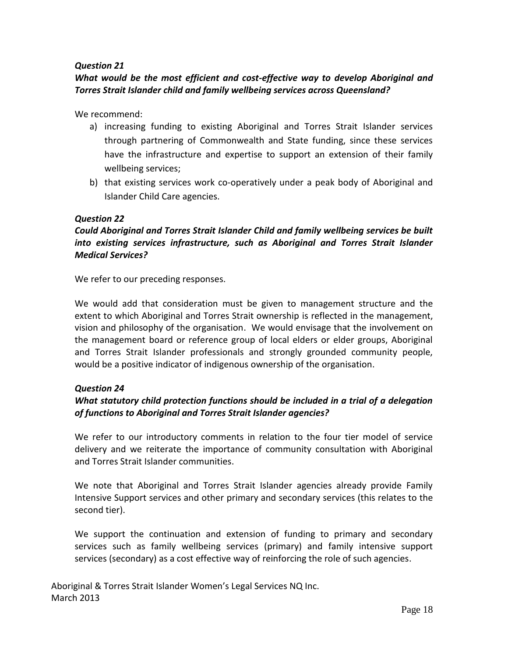## *What would be the most efficient and cost-effective way to develop Aboriginal and Torres Strait Islander child and family wellbeing services across Queensland?*

We recommend:

- a) increasing funding to existing Aboriginal and Torres Strait Islander services through partnering of Commonwealth and State funding, since these services have the infrastructure and expertise to support an extension of their family wellbeing services;
- b) that existing services work co-operatively under a peak body of Aboriginal and Islander Child Care agencies.

#### *Question 22*

## *Could Aboriginal and Torres Strait Islander Child and family wellbeing services be built into existing services infrastructure, such as Aboriginal and Torres Strait Islander Medical Services?*

We refer to our preceding responses.

We would add that consideration must be given to management structure and the extent to which Aboriginal and Torres Strait ownership is reflected in the management, vision and philosophy of the organisation. We would envisage that the involvement on the management board or reference group of local elders or elder groups, Aboriginal and Torres Strait Islander professionals and strongly grounded community people, would be a positive indicator of indigenous ownership of the organisation.

#### *Question 24*

## *What statutory child protection functions should be included in a trial of a delegation of functions to Aboriginal and Torres Strait Islander agencies?*

We refer to our introductory comments in relation to the four tier model of service delivery and we reiterate the importance of community consultation with Aboriginal and Torres Strait Islander communities.

We note that Aboriginal and Torres Strait Islander agencies already provide Family Intensive Support services and other primary and secondary services (this relates to the second tier).

We support the continuation and extension of funding to primary and secondary services such as family wellbeing services (primary) and family intensive support services (secondary) as a cost effective way of reinforcing the role of such agencies.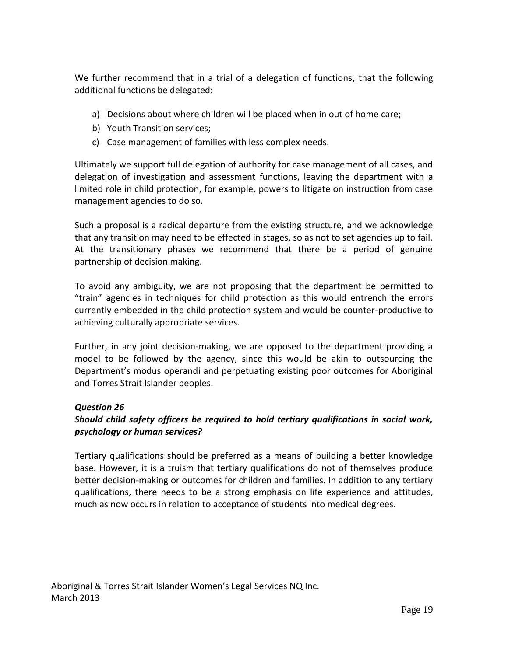We further recommend that in a trial of a delegation of functions, that the following additional functions be delegated:

- a) Decisions about where children will be placed when in out of home care;
- b) Youth Transition services;
- c) Case management of families with less complex needs.

Ultimately we support full delegation of authority for case management of all cases, and delegation of investigation and assessment functions, leaving the department with a limited role in child protection, for example, powers to litigate on instruction from case management agencies to do so.

Such a proposal is a radical departure from the existing structure, and we acknowledge that any transition may need to be effected in stages, so as not to set agencies up to fail. At the transitionary phases we recommend that there be a period of genuine partnership of decision making.

To avoid any ambiguity, we are not proposing that the department be permitted to "train" agencies in techniques for child protection as this would entrench the errors currently embedded in the child protection system and would be counter-productive to achieving culturally appropriate services.

Further, in any joint decision-making, we are opposed to the department providing a model to be followed by the agency, since this would be akin to outsourcing the Department's modus operandi and perpetuating existing poor outcomes for Aboriginal and Torres Strait Islander peoples.

## *Question 26*

## *Should child safety officers be required to hold tertiary qualifications in social work, psychology or human services?*

Tertiary qualifications should be preferred as a means of building a better knowledge base. However, it is a truism that tertiary qualifications do not of themselves produce better decision-making or outcomes for children and families. In addition to any tertiary qualifications, there needs to be a strong emphasis on life experience and attitudes, much as now occurs in relation to acceptance of students into medical degrees.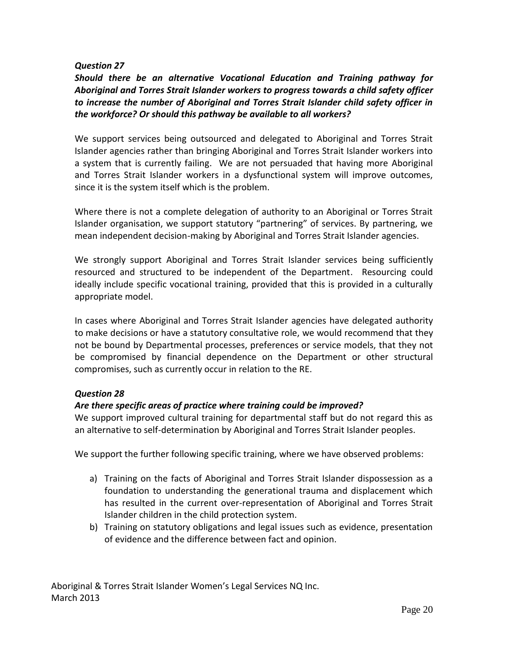*Should there be an alternative Vocational Education and Training pathway for Aboriginal and Torres Strait Islander workers to progress towards a child safety officer to increase the number of Aboriginal and Torres Strait Islander child safety officer in the workforce? Or should this pathway be available to all workers?*

We support services being outsourced and delegated to Aboriginal and Torres Strait Islander agencies rather than bringing Aboriginal and Torres Strait Islander workers into a system that is currently failing. We are not persuaded that having more Aboriginal and Torres Strait Islander workers in a dysfunctional system will improve outcomes, since it is the system itself which is the problem.

Where there is not a complete delegation of authority to an Aboriginal or Torres Strait Islander organisation, we support statutory "partnering" of services. By partnering, we mean independent decision-making by Aboriginal and Torres Strait Islander agencies.

We strongly support Aboriginal and Torres Strait Islander services being sufficiently resourced and structured to be independent of the Department. Resourcing could ideally include specific vocational training, provided that this is provided in a culturally appropriate model.

In cases where Aboriginal and Torres Strait Islander agencies have delegated authority to make decisions or have a statutory consultative role, we would recommend that they not be bound by Departmental processes, preferences or service models, that they not be compromised by financial dependence on the Department or other structural compromises, such as currently occur in relation to the RE.

#### *Question 28*

## *Are there specific areas of practice where training could be improved?*

We support improved cultural training for departmental staff but do not regard this as an alternative to self-determination by Aboriginal and Torres Strait Islander peoples.

We support the further following specific training, where we have observed problems:

- a) Training on the facts of Aboriginal and Torres Strait Islander dispossession as a foundation to understanding the generational trauma and displacement which has resulted in the current over-representation of Aboriginal and Torres Strait Islander children in the child protection system.
- b) Training on statutory obligations and legal issues such as evidence, presentation of evidence and the difference between fact and opinion.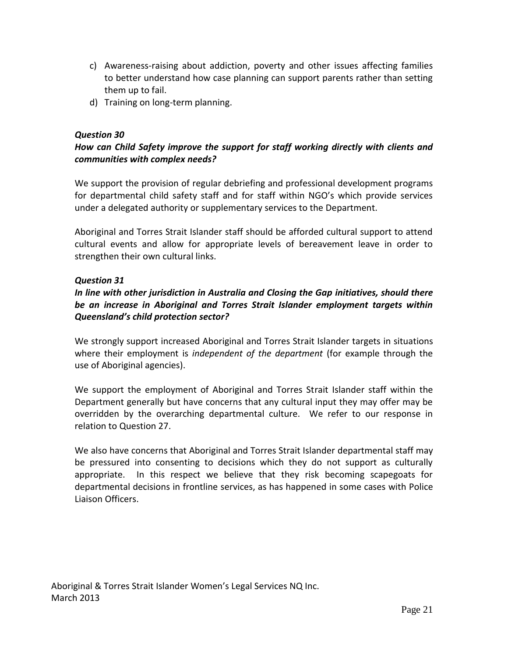- c) Awareness-raising about addiction, poverty and other issues affecting families to better understand how case planning can support parents rather than setting them up to fail.
- d) Training on long-term planning.

## *How can Child Safety improve the support for staff working directly with clients and communities with complex needs?*

We support the provision of regular debriefing and professional development programs for departmental child safety staff and for staff within NGO's which provide services under a delegated authority or supplementary services to the Department.

Aboriginal and Torres Strait Islander staff should be afforded cultural support to attend cultural events and allow for appropriate levels of bereavement leave in order to strengthen their own cultural links.

#### *Question 31*

## *In line with other jurisdiction in Australia and Closing the Gap initiatives, should there be an increase in Aboriginal and Torres Strait Islander employment targets within Queensland's child protection sector?*

We strongly support increased Aboriginal and Torres Strait Islander targets in situations where their employment is *independent of the department* (for example through the use of Aboriginal agencies).

We support the employment of Aboriginal and Torres Strait Islander staff within the Department generally but have concerns that any cultural input they may offer may be overridden by the overarching departmental culture. We refer to our response in relation to Question 27.

We also have concerns that Aboriginal and Torres Strait Islander departmental staff may be pressured into consenting to decisions which they do not support as culturally appropriate. In this respect we believe that they risk becoming scapegoats for departmental decisions in frontline services, as has happened in some cases with Police Liaison Officers.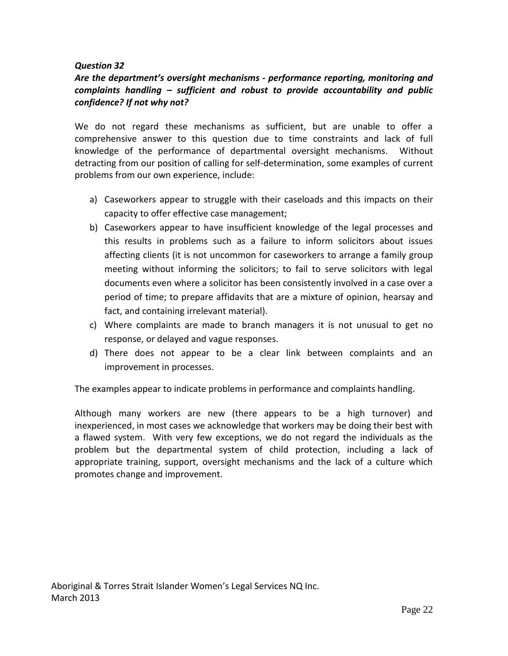## *Are the department's oversight mechanisms - performance reporting, monitoring and complaints handling – sufficient and robust to provide accountability and public confidence? If not why not?*

We do not regard these mechanisms as sufficient, but are unable to offer a comprehensive answer to this question due to time constraints and lack of full knowledge of the performance of departmental oversight mechanisms. Without detracting from our position of calling for self-determination, some examples of current problems from our own experience, include:

- a) Caseworkers appear to struggle with their caseloads and this impacts on their capacity to offer effective case management;
- b) Caseworkers appear to have insufficient knowledge of the legal processes and this results in problems such as a failure to inform solicitors about issues affecting clients (it is not uncommon for caseworkers to arrange a family group meeting without informing the solicitors; to fail to serve solicitors with legal documents even where a solicitor has been consistently involved in a case over a period of time; to prepare affidavits that are a mixture of opinion, hearsay and fact, and containing irrelevant material).
- c) Where complaints are made to branch managers it is not unusual to get no response, or delayed and vague responses.
- d) There does not appear to be a clear link between complaints and an improvement in processes.

The examples appear to indicate problems in performance and complaints handling.

Although many workers are new (there appears to be a high turnover) and inexperienced, in most cases we acknowledge that workers may be doing their best with a flawed system. With very few exceptions, we do not regard the individuals as the problem but the departmental system of child protection, including a lack of appropriate training, support, oversight mechanisms and the lack of a culture which promotes change and improvement.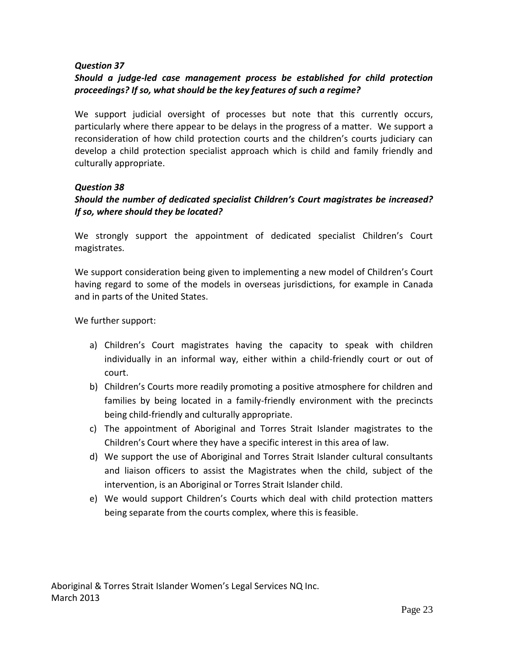## *Should a judge-led case management process be established for child protection proceedings? If so, what should be the key features of such a regime?*

We support judicial oversight of processes but note that this currently occurs, particularly where there appear to be delays in the progress of a matter. We support a reconsideration of how child protection courts and the children's courts judiciary can develop a child protection specialist approach which is child and family friendly and culturally appropriate.

#### *Question 38*

## *Should the number of dedicated specialist Children's Court magistrates be increased? If so, where should they be located?*

We strongly support the appointment of dedicated specialist Children's Court magistrates.

We support consideration being given to implementing a new model of Children's Court having regard to some of the models in overseas jurisdictions, for example in Canada and in parts of the United States.

We further support:

- a) Children's Court magistrates having the capacity to speak with children individually in an informal way, either within a child-friendly court or out of court.
- b) Children's Courts more readily promoting a positive atmosphere for children and families by being located in a family-friendly environment with the precincts being child-friendly and culturally appropriate.
- c) The appointment of Aboriginal and Torres Strait Islander magistrates to the Children's Court where they have a specific interest in this area of law.
- d) We support the use of Aboriginal and Torres Strait Islander cultural consultants and liaison officers to assist the Magistrates when the child, subject of the intervention, is an Aboriginal or Torres Strait Islander child.
- e) We would support Children's Courts which deal with child protection matters being separate from the courts complex, where this is feasible.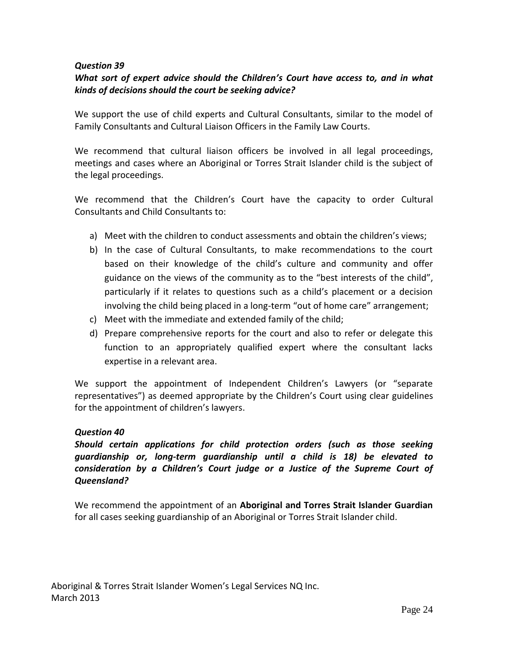## *What sort of expert advice should the Children's Court have access to, and in what kinds of decisions should the court be seeking advice?*

We support the use of child experts and Cultural Consultants, similar to the model of Family Consultants and Cultural Liaison Officers in the Family Law Courts.

We recommend that cultural liaison officers be involved in all legal proceedings, meetings and cases where an Aboriginal or Torres Strait Islander child is the subject of the legal proceedings.

We recommend that the Children's Court have the capacity to order Cultural Consultants and Child Consultants to:

- a) Meet with the children to conduct assessments and obtain the children's views;
- b) In the case of Cultural Consultants, to make recommendations to the court based on their knowledge of the child's culture and community and offer guidance on the views of the community as to the "best interests of the child", particularly if it relates to questions such as a child's placement or a decision involving the child being placed in a long-term "out of home care" arrangement;
- c) Meet with the immediate and extended family of the child;
- d) Prepare comprehensive reports for the court and also to refer or delegate this function to an appropriately qualified expert where the consultant lacks expertise in a relevant area.

We support the appointment of Independent Children's Lawyers (or "separate representatives") as deemed appropriate by the Children's Court using clear guidelines for the appointment of children's lawyers.

## *Question 40*

*Should certain applications for child protection orders (such as those seeking guardianship or, long-term guardianship until a child is 18) be elevated to consideration by a Children's Court judge or a Justice of the Supreme Court of Queensland?*

We recommend the appointment of an **Aboriginal and Torres Strait Islander Guardian** for all cases seeking guardianship of an Aboriginal or Torres Strait Islander child.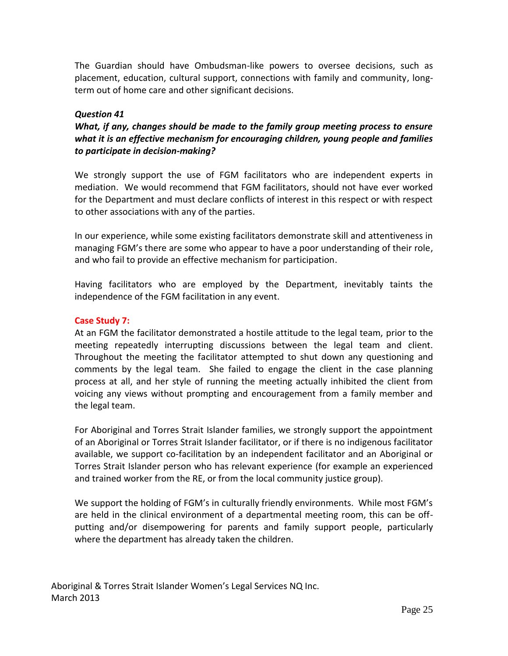The Guardian should have Ombudsman-like powers to oversee decisions, such as placement, education, cultural support, connections with family and community, longterm out of home care and other significant decisions.

#### *Question 41*

*What, if any, changes should be made to the family group meeting process to ensure what it is an effective mechanism for encouraging children, young people and families to participate in decision-making?*

We strongly support the use of FGM facilitators who are independent experts in mediation. We would recommend that FGM facilitators, should not have ever worked for the Department and must declare conflicts of interest in this respect or with respect to other associations with any of the parties.

In our experience, while some existing facilitators demonstrate skill and attentiveness in managing FGM's there are some who appear to have a poor understanding of their role, and who fail to provide an effective mechanism for participation.

Having facilitators who are employed by the Department, inevitably taints the independence of the FGM facilitation in any event.

#### **Case Study 7:**

At an FGM the facilitator demonstrated a hostile attitude to the legal team, prior to the meeting repeatedly interrupting discussions between the legal team and client. Throughout the meeting the facilitator attempted to shut down any questioning and comments by the legal team. She failed to engage the client in the case planning process at all, and her style of running the meeting actually inhibited the client from voicing any views without prompting and encouragement from a family member and the legal team.

For Aboriginal and Torres Strait Islander families, we strongly support the appointment of an Aboriginal or Torres Strait Islander facilitator, or if there is no indigenous facilitator available, we support co-facilitation by an independent facilitator and an Aboriginal or Torres Strait Islander person who has relevant experience (for example an experienced and trained worker from the RE, or from the local community justice group).

We support the holding of FGM's in culturally friendly environments. While most FGM's are held in the clinical environment of a departmental meeting room, this can be offputting and/or disempowering for parents and family support people, particularly where the department has already taken the children.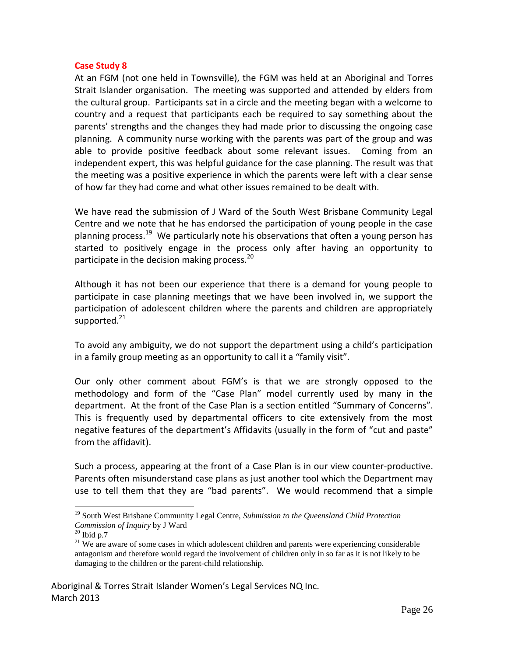#### **Case Study 8**

At an FGM (not one held in Townsville), the FGM was held at an Aboriginal and Torres Strait Islander organisation. The meeting was supported and attended by elders from the cultural group. Participants sat in a circle and the meeting began with a welcome to country and a request that participants each be required to say something about the parents' strengths and the changes they had made prior to discussing the ongoing case planning. A community nurse working with the parents was part of the group and was able to provide positive feedback about some relevant issues. Coming from an independent expert, this was helpful guidance for the case planning. The result was that the meeting was a positive experience in which the parents were left with a clear sense of how far they had come and what other issues remained to be dealt with.

We have read the submission of J Ward of the South West Brisbane Community Legal Centre and we note that he has endorsed the participation of young people in the case planning process.<sup>19</sup> We particularly note his observations that often a young person has started to positively engage in the process only after having an opportunity to participate in the decision making process.<sup>20</sup>

Although it has not been our experience that there is a demand for young people to participate in case planning meetings that we have been involved in, we support the participation of adolescent children where the parents and children are appropriately supported.<sup>21</sup>

To avoid any ambiguity, we do not support the department using a child's participation in a family group meeting as an opportunity to call it a "family visit".

Our only other comment about FGM's is that we are strongly opposed to the methodology and form of the "Case Plan" model currently used by many in the department. At the front of the Case Plan is a section entitled "Summary of Concerns". This is frequently used by departmental officers to cite extensively from the most negative features of the department's Affidavits (usually in the form of "cut and paste" from the affidavit).

Such a process, appearing at the front of a Case Plan is in our view counter-productive. Parents often misunderstand case plans as just another tool which the Department may use to tell them that they are "bad parents". We would recommend that a simple

 $\overline{a}$ 

<sup>19</sup> South West Brisbane Community Legal Centre, *Submission to the Queensland Child Protection Commission of Inquiry* by J Ward

 $20$  Ibid p.7

<sup>&</sup>lt;sup>21</sup> We are aware of some cases in which adolescent children and parents were experiencing considerable antagonism and therefore would regard the involvement of children only in so far as it is not likely to be damaging to the children or the parent-child relationship.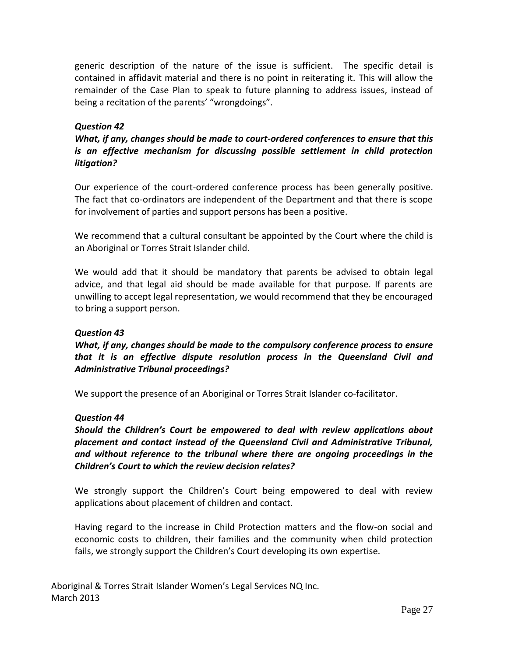generic description of the nature of the issue is sufficient. The specific detail is contained in affidavit material and there is no point in reiterating it. This will allow the remainder of the Case Plan to speak to future planning to address issues, instead of being a recitation of the parents' "wrongdoings".

#### *Question 42*

*What, if any, changes should be made to court-ordered conferences to ensure that this is an effective mechanism for discussing possible settlement in child protection litigation?*

Our experience of the court-ordered conference process has been generally positive. The fact that co-ordinators are independent of the Department and that there is scope for involvement of parties and support persons has been a positive.

We recommend that a cultural consultant be appointed by the Court where the child is an Aboriginal or Torres Strait Islander child.

We would add that it should be mandatory that parents be advised to obtain legal advice, and that legal aid should be made available for that purpose. If parents are unwilling to accept legal representation, we would recommend that they be encouraged to bring a support person.

#### *Question 43*

*What, if any, changes should be made to the compulsory conference process to ensure that it is an effective dispute resolution process in the Queensland Civil and Administrative Tribunal proceedings?*

We support the presence of an Aboriginal or Torres Strait Islander co-facilitator.

#### *Question 44*

*Should the Children's Court be empowered to deal with review applications about placement and contact instead of the Queensland Civil and Administrative Tribunal, and without reference to the tribunal where there are ongoing proceedings in the Children's Court to which the review decision relates?*

We strongly support the Children's Court being empowered to deal with review applications about placement of children and contact.

Having regard to the increase in Child Protection matters and the flow-on social and economic costs to children, their families and the community when child protection fails, we strongly support the Children's Court developing its own expertise.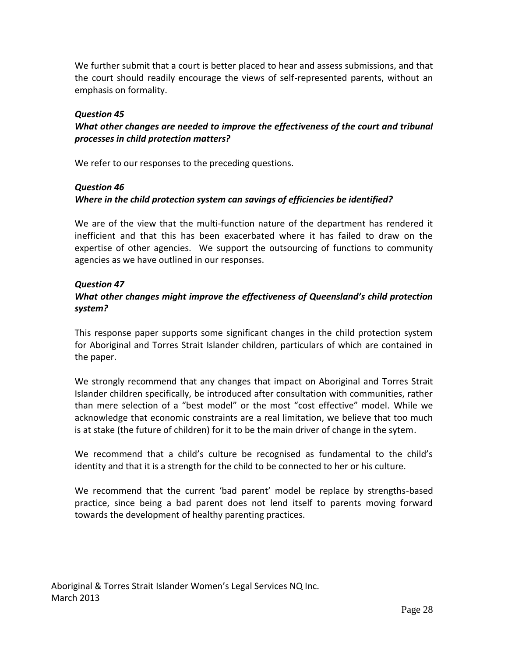We further submit that a court is better placed to hear and assess submissions, and that the court should readily encourage the views of self-represented parents, without an emphasis on formality.

#### *Question 45*

## *What other changes are needed to improve the effectiveness of the court and tribunal processes in child protection matters?*

We refer to our responses to the preceding questions.

#### *Question 46*

## *Where in the child protection system can savings of efficiencies be identified?*

We are of the view that the multi-function nature of the department has rendered it inefficient and that this has been exacerbated where it has failed to draw on the expertise of other agencies. We support the outsourcing of functions to community agencies as we have outlined in our responses.

#### *Question 47*

## *What other changes might improve the effectiveness of Queensland's child protection system?*

This response paper supports some significant changes in the child protection system for Aboriginal and Torres Strait Islander children, particulars of which are contained in the paper.

We strongly recommend that any changes that impact on Aboriginal and Torres Strait Islander children specifically, be introduced after consultation with communities, rather than mere selection of a "best model" or the most "cost effective" model. While we acknowledge that economic constraints are a real limitation, we believe that too much is at stake (the future of children) for it to be the main driver of change in the sytem.

We recommend that a child's culture be recognised as fundamental to the child's identity and that it is a strength for the child to be connected to her or his culture.

We recommend that the current 'bad parent' model be replace by strengths-based practice, since being a bad parent does not lend itself to parents moving forward towards the development of healthy parenting practices.